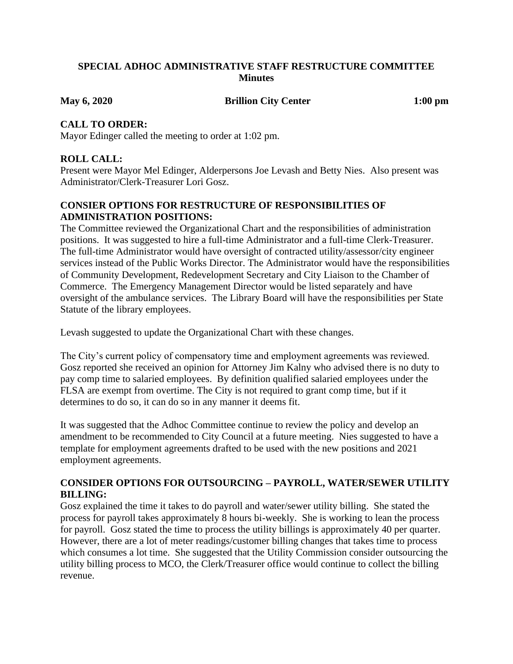### **SPECIAL ADHOC ADMINISTRATIVE STAFF RESTRUCTURE COMMITTEE Minutes**

**May 6, 2020 Brillion City Center 1:00 pm**

### **CALL TO ORDER:**

Mayor Edinger called the meeting to order at 1:02 pm.

# **ROLL CALL:**

Present were Mayor Mel Edinger, Alderpersons Joe Levash and Betty Nies. Also present was Administrator/Clerk-Treasurer Lori Gosz.

# **CONSIER OPTIONS FOR RESTRUCTURE OF RESPONSIBILITIES OF ADMINISTRATION POSITIONS:**

The Committee reviewed the Organizational Chart and the responsibilities of administration positions. It was suggested to hire a full-time Administrator and a full-time Clerk-Treasurer. The full-time Administrator would have oversight of contracted utility/assessor/city engineer services instead of the Public Works Director. The Administrator would have the responsibilities of Community Development, Redevelopment Secretary and City Liaison to the Chamber of Commerce. The Emergency Management Director would be listed separately and have oversight of the ambulance services. The Library Board will have the responsibilities per State Statute of the library employees.

Levash suggested to update the Organizational Chart with these changes.

The City's current policy of compensatory time and employment agreements was reviewed. Gosz reported she received an opinion for Attorney Jim Kalny who advised there is no duty to pay comp time to salaried employees. By definition qualified salaried employees under the FLSA are exempt from overtime. The City is not required to grant comp time, but if it determines to do so, it can do so in any manner it deems fit.

It was suggested that the Adhoc Committee continue to review the policy and develop an amendment to be recommended to City Council at a future meeting. Nies suggested to have a template for employment agreements drafted to be used with the new positions and 2021 employment agreements.

# **CONSIDER OPTIONS FOR OUTSOURCING – PAYROLL, WATER/SEWER UTILITY BILLING:**

Gosz explained the time it takes to do payroll and water/sewer utility billing. She stated the process for payroll takes approximately 8 hours bi-weekly. She is working to lean the process for payroll. Gosz stated the time to process the utility billings is approximately 40 per quarter. However, there are a lot of meter readings/customer billing changes that takes time to process which consumes a lot time. She suggested that the Utility Commission consider outsourcing the utility billing process to MCO, the Clerk/Treasurer office would continue to collect the billing revenue.